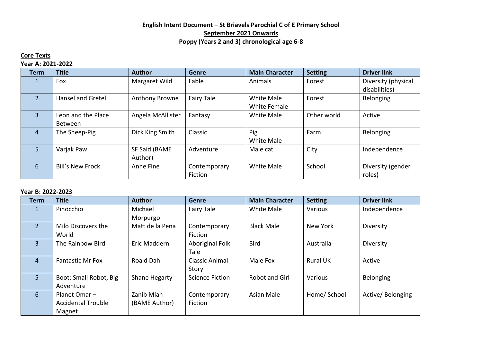## **English Intent Document – St Briavels Parochial C of E Primary School September 2021 Onwards Poppy (Years 2 and 3) chronological age 6-8**

### **Core Texts**

#### **Year A: 2021-2022**

| <b>Term</b>    | <b>Title</b>             | <b>Author</b>     | <b>Genre</b> | <b>Main Character</b> | <b>Setting</b> | <b>Driver link</b>  |
|----------------|--------------------------|-------------------|--------------|-----------------------|----------------|---------------------|
|                | Fox                      | Margaret Wild     | Fable        | Animals               | Forest         | Diversity (physical |
|                |                          |                   |              |                       |                | disabilities)       |
| $\overline{2}$ | <b>Hansel and Gretel</b> | Anthony Browne    | Fairy Tale   | White Male            | Forest         | Belonging           |
|                |                          |                   |              | <b>White Female</b>   |                |                     |
| $\overline{3}$ | Leon and the Place       | Angela McAllister | Fantasy      | White Male            | Other world    | Active              |
|                | Between                  |                   |              |                       |                |                     |
| $\overline{4}$ | The Sheep-Pig            | Dick King Smith   | Classic      | Pig                   | Farm           | Belonging           |
|                |                          |                   |              | White Male            |                |                     |
| 5              | Varjak Paw               | SF Said (BAME     | Adventure    | Male cat              | City           | Independence        |
|                |                          | Author)           |              |                       |                |                     |
| 6              | <b>Bill's New Frock</b>  | Anne Fine         | Contemporary | <b>White Male</b>     | School         | Diversity (gender   |
|                |                          |                   | Fiction      |                       |                | roles)              |

#### **Year B: 2022-2023**

| <b>Term</b>    | <b>Title</b>              | <b>Author</b>     | <b>Genre</b>           | <b>Main Character</b> | <b>Setting</b>  | <b>Driver link</b> |
|----------------|---------------------------|-------------------|------------------------|-----------------------|-----------------|--------------------|
|                | Pinocchio                 | Michael           | Fairy Tale             | <b>White Male</b>     | Various         | Independence       |
|                |                           | Morpurgo          |                        |                       |                 |                    |
| $\overline{2}$ | Milo Discovers the        | Matt de la Pena   | Contemporary           | <b>Black Male</b>     | New York        | Diversity          |
|                | World                     |                   | Fiction                |                       |                 |                    |
| $\overline{3}$ | The Rainbow Bird          | Eric Maddern      | Aboriginal Folk        | <b>Bird</b>           | Australia       | Diversity          |
|                |                           |                   | Tale                   |                       |                 |                    |
| 4              | <b>Fantastic Mr Fox</b>   | <b>Roald Dahl</b> | <b>Classic Animal</b>  | Male Fox              | <b>Rural UK</b> | Active             |
|                |                           |                   | Story                  |                       |                 |                    |
| 5              | Boot: Small Robot, Big    | Shane Hegarty     | <b>Science Fiction</b> | <b>Robot and Girl</b> | Various         | Belonging          |
|                | Adventure                 |                   |                        |                       |                 |                    |
| 6              | Planet Omar-              | Zanib Mian        | Contemporary           | Asian Male            | Home/ School    | Active/Belonging   |
|                | <b>Accidental Trouble</b> | (BAME Author)     | Fiction                |                       |                 |                    |
|                | Magnet                    |                   |                        |                       |                 |                    |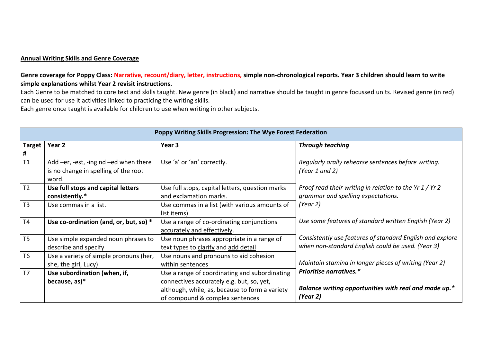#### **Annual Writing Skills and Genre Coverage**

## **Genre coverage for Poppy Class: Narrative, recount/diary, letter, instructions, simple non-chronological reports. Year 3 children should learn to write simple explanations whilst Year 2 revisit instructions.**

Each Genre to be matched to core text and skills taught. New genre (in black) and narrative should be taught in genre focussed units. Revised genre (in red) can be used for use it activities linked to practicing the writing skills.

Each genre once taught is available for children to use when writing in other subjects.

|                    | Poppy Writing Skills Progression: The Wye Forest Federation                            |                                                                                                                                                                                 |                                                                                                                |  |  |  |
|--------------------|----------------------------------------------------------------------------------------|---------------------------------------------------------------------------------------------------------------------------------------------------------------------------------|----------------------------------------------------------------------------------------------------------------|--|--|--|
| <b>Target</b><br># | Year 2                                                                                 | Year 3                                                                                                                                                                          | <b>Through teaching</b>                                                                                        |  |  |  |
| T1                 | Add -er, -est, -ing nd -ed when there<br>is no change in spelling of the root<br>word. | Use 'a' or 'an' correctly.                                                                                                                                                      | Regularly orally rehearse sentences before writing.<br>(Year 1 and 2)                                          |  |  |  |
| T <sub>2</sub>     | Use full stops and capital letters<br>consistently.*                                   | Use full stops, capital letters, question marks<br>and exclamation marks.                                                                                                       | Proof read their writing in relation to the Yr 1 / Yr 2<br>grammar and spelling expectations.                  |  |  |  |
| T3                 | Use commas in a list.                                                                  | Use commas in a list (with various amounts of<br>list items)                                                                                                                    | (Year 2)                                                                                                       |  |  |  |
| T4                 | Use co-ordination (and, or, but, so) *                                                 | Use a range of co-ordinating conjunctions<br>accurately and effectively.                                                                                                        | Use some features of standard written English (Year 2)                                                         |  |  |  |
| T5                 | Use simple expanded noun phrases to<br>describe and specify                            | Use noun phrases appropriate in a range of<br>text types to clarify and add detail                                                                                              | Consistently use features of standard English and explore<br>when non-standard English could be used. (Year 3) |  |  |  |
| T <sub>6</sub>     | Use a variety of simple pronouns (her,<br>she, the girl, Lucy)                         | Use nouns and pronouns to aid cohesion<br>within sentences                                                                                                                      | Maintain stamina in longer pieces of writing (Year 2)                                                          |  |  |  |
| T <sub>7</sub>     | Use subordination (when, if,<br>because, as)*                                          | Use a range of coordinating and subordinating<br>connectives accurately e.g. but, so, yet,<br>although, while, as, because to form a variety<br>of compound & complex sentences | Prioritise narratives.*<br>Balance writing opportunities with real and made up.*<br>(Year 2)                   |  |  |  |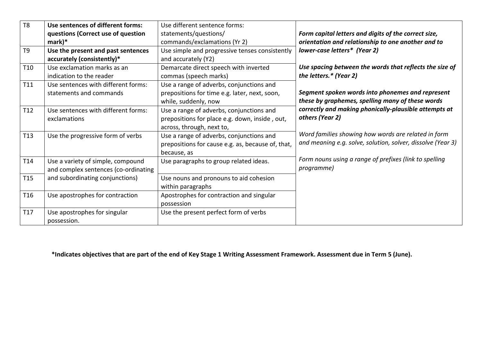| T <sub>8</sub>  | Use sentences of different forms:    | Use different sentence forms:                     |                                                             |  |
|-----------------|--------------------------------------|---------------------------------------------------|-------------------------------------------------------------|--|
|                 | questions (Correct use of question   | statements/questions/                             | Form capital letters and digits of the correct size,        |  |
|                 | $mark)*$                             | commands/exclamations (Yr 2)                      | orientation and relationship to one another and to          |  |
| T <sub>9</sub>  | Use the present and past sentences   | Use simple and progressive tenses consistently    | lower-case letters* (Year 2)                                |  |
|                 | accurately (consistently)*           | and accurately (Y2)                               |                                                             |  |
| T <sub>10</sub> | Use exclamation marks as an          | Demarcate direct speech with inverted             | Use spacing between the words that reflects the size of     |  |
|                 | indication to the reader             | commas (speech marks)                             | the letters.* (Year 2)                                      |  |
| T11             | Use sentences with different forms:  | Use a range of adverbs, conjunctions and          |                                                             |  |
|                 | statements and commands              | prepositions for time e.g. later, next, soon,     | Segment spoken words into phonemes and represent            |  |
|                 |                                      | while, suddenly, now                              | these by graphemes, spelling many of these words            |  |
| T12             | Use sentences with different forms:  | Use a range of adverbs, conjunctions and          | correctly and making phonically-plausible attempts at       |  |
|                 | exclamations                         | prepositions for place e.g. down, inside, out,    | others (Year 2)                                             |  |
|                 |                                      | across, through, next to,                         |                                                             |  |
| T <sub>13</sub> | Use the progressive form of verbs    | Use a range of adverbs, conjunctions and          | Word families showing how words are related in form         |  |
|                 |                                      | prepositions for cause e.g. as, because of, that, | and meaning e.g. solve, solution, solver, dissolve (Year 3) |  |
|                 |                                      | because, as                                       |                                                             |  |
| T <sub>14</sub> | Use a variety of simple, compound    | Use paragraphs to group related ideas.            | Form nouns using a range of prefixes (link to spelling      |  |
|                 | and complex sentences (co-ordinating |                                                   | programme)                                                  |  |
| T <sub>15</sub> | and subordinating conjunctions)      | Use nouns and pronouns to aid cohesion            |                                                             |  |
|                 |                                      | within paragraphs                                 |                                                             |  |
| T <sub>16</sub> | Use apostrophes for contraction      | Apostrophes for contraction and singular          |                                                             |  |
|                 |                                      | possession                                        |                                                             |  |
| T17             | Use apostrophes for singular         | Use the present perfect form of verbs             |                                                             |  |
|                 | possession.                          |                                                   |                                                             |  |

**\*Indicates objectives that are part of the end of Key Stage 1 Writing Assessment Framework. Assessment due in Term 5 (June).**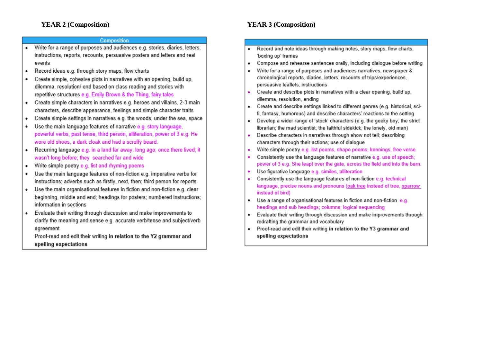#### Composition

- Write for a range of purposes and audiences e.g. stories, diaries, letters, instructions, reports, recounts, persuasive posters and letters and real events
- Record ideas e.g. through story maps, flow charts ٠
- Create simple, cohesive plots in narratives with an opening, build up, ٠ dilemma, resolution/ end based on class reading and stories with repetitive structures e.g. Emily Brown & the Thing, fairy tales
- Create simple characters in narratives e.g. heroes and villains, 2-3 main characters, describe appearance, feelings and simple character traits
- Create simple settings in narratives e.g. the woods, under the sea, space  $\bullet$
- Use the main language features of narrative e.g. story language. ٠ powerful verbs, past tense, third person, alliteration, power of 3 e.g. He wore old shoes, a dark cloak and had a scruffy beard.
- Recurring language e.g. in a land far away; long ago; once there lived; it ٠ wasn't long before; they searched far and wide
- Write simple poetry e.g. list and rhyming poems ٠
- Use the main language features of non-fiction e.g. imperative verbs for instructions; adverbs such as firstly, next, then; third person for reports
- Use the main organisational features in fiction and non-fiction e.g. clear beginning, middle and end; headings for posters; numbered instructions; information in sections
- Evaluate their writing through discussion and make improvements to clarify the meaning and sense e.g. accurate verb/tense and subject/verb agreement

Proof-read and edit their writing in relation to the Y2 grammar and spelling expectations

# **YEAR 3 (Composition)**

- Record and note ideas through making notes, story maps, flow charts. 'boxing up' frames
- Compose and rehearse sentences orally, including dialogue before writing  $\bullet$
- Write for a range of purposes and audiences narratives, newspaper &  $\ddot{\phantom{0}}$ chronological reports, diaries, letters, recounts of trips/experiences, persuasive leaflets, instructions
- Create and describe plots in narratives with a clear opening, build up. ٠ dilemma, resolution, ending
- Create and describe settings linked to different genres (e.g. historical, sci- $\bullet$ fi, fantasy, humorous) and describe characters' reactions to the setting
- Develop a wider range of 'stock' characters (e.g. the geeky boy; the strict  $\bullet$ librarian; the mad scientist; the faithful sidekick; the lonely, old man)
- Describe characters in narratives through show not tell; describing  $\bullet$ characters through their actions; use of dialogue
- Write simple poetry e.g. list poems, shape poems, kennings, free verse  $\ddot{\phantom{0}}$
- Consistently use the language features of narrative e.g. use of speech;  $\bullet$ power of 3 e.g. She leapt over the gate, across the field and into the barn.
- Use figurative language e.g. similes, alliteration ٠
- Consistently use the language features of non-fiction e.g. technical  $\ddot{\phantom{0}}$ language, precise nouns and pronouns (oak tree instead of tree, sparrow instead of bird)
- Use a range of organisational features in fiction and non-fiction e.g.  $\bullet$ headings and sub headings; columns; logical sequencing
- Evaluate their writing through discussion and make improvements through  $\bullet$ redrafting the grammar and vocabulary
- Proof-read and edit their writing in relation to the Y3 grammar and  $\bullet$ spelling expectations